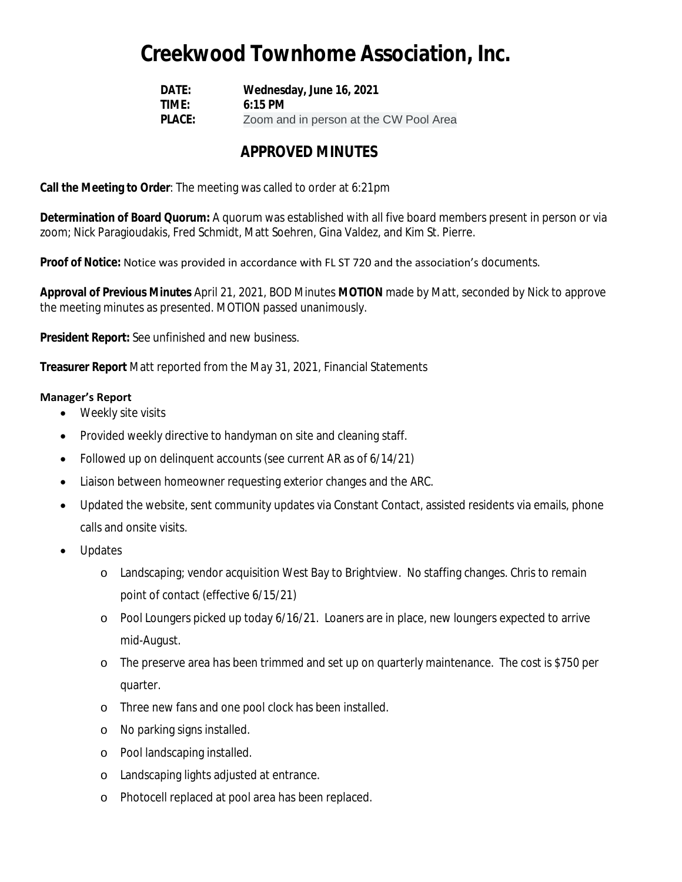## **Creekwood Townhome Association, Inc.**

**DATE: Wednesday, June 16, 2021 TIME: 6:15 PM PLACE:** Zoom and in person at the CW Pool Area

### **APPROVED MINUTES**

**Call the Meeting to Order**: The meeting was called to order at 6:21pm

**Determination of Board Quorum:** A quorum was established with all five board members present in person or via zoom; Nick Paragioudakis, Fred Schmidt, Matt Soehren, Gina Valdez, and Kim St. Pierre.

#### **Proof of Notice:** Notice was provided in accordance with FL ST 720 and the association's documents.

**Approval of Previous Minutes** April 21, 2021, BOD Minutes **MOTION** made by Matt, seconded by Nick to approve the meeting minutes as presented. MOTION passed unanimously.

**President Report:** See unfinished and new business.

**Treasurer Report** Matt reported from the May 31, 2021, Financial Statements

#### **Manager's Report**

- Weekly site visits
- Provided weekly directive to handyman on site and cleaning staff.
- Followed up on delinquent accounts (see current AR as of 6/14/21)
- Liaison between homeowner requesting exterior changes and the ARC.
- Updated the website, sent community updates via Constant Contact, assisted residents via emails, phone calls and onsite visits.
- Updates
	- o Landscaping; vendor acquisition West Bay to Brightview. No staffing changes. Chris to remain point of contact (effective 6/15/21)
	- o Pool Loungers picked up today 6/16/21. Loaners are in place, new loungers expected to arrive mid-August.
	- o The preserve area has been trimmed and set up on quarterly maintenance. The cost is \$750 per quarter.
	- o Three new fans and one pool clock has been installed.
	- o No parking signs installed.
	- o Pool landscaping installed.
	- o Landscaping lights adjusted at entrance.
	- o Photocell replaced at pool area has been replaced.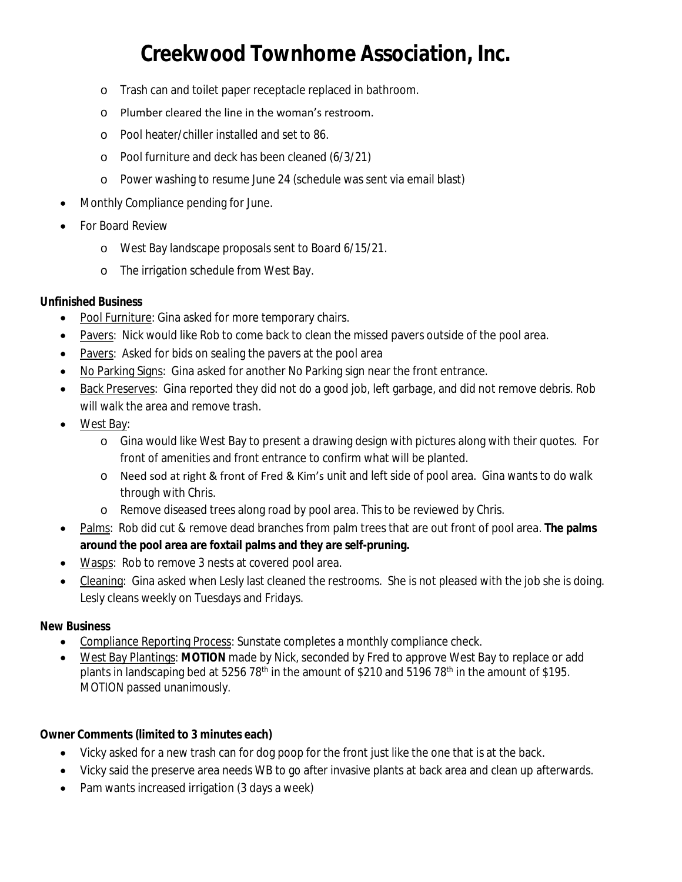# **Creekwood Townhome Association, Inc.**

- o Trash can and toilet paper receptacle replaced in bathroom.
- o Plumber cleared the line in the woman's restroom.
- o Pool heater/chiller installed and set to 86.
- o Pool furniture and deck has been cleaned (6/3/21)
- o Power washing to resume June 24 (schedule was sent via email blast)
- Monthly Compliance pending for June.
- For Board Review
	- o West Bay landscape proposals sent to Board 6/15/21.
	- o The irrigation schedule from West Bay.

### **Unfinished Business**

- Pool Furniture: Gina asked for more temporary chairs.
- Pavers: Nick would like Rob to come back to clean the missed pavers outside of the pool area.
- Pavers: Asked for bids on sealing the pavers at the pool area
- No Parking Signs: Gina asked for another No Parking sign near the front entrance.
- Back Preserves: Gina reported they did not do a good job, left garbage, and did not remove debris. Rob will walk the area and remove trash.
- West Bay:
	- o Gina would like West Bay to present a drawing design with pictures along with their quotes. For front of amenities and front entrance to confirm what will be planted.
	- o Need sod at right & front of Fred & Kim's unit and left side of pool area. Gina wants to do walk through with Chris.
	- o Remove diseased trees along road by pool area. This to be reviewed by Chris.
- Palms: Rob did cut & remove dead branches from palm trees that are out front of pool area. **The palms around the pool area are foxtail palms and they are self-pruning.**
- Wasps: Rob to remove 3 nests at covered pool area.
- Cleaning: Gina asked when Lesly last cleaned the restrooms. She is not pleased with the job she is doing. Lesly cleans weekly on Tuesdays and Fridays.

#### **New Business**

- Compliance Reporting Process: Sunstate completes a monthly compliance check.
- West Bay Plantings: **MOTION** made by Nick, seconded by Fred to approve West Bay to replace or add plants in landscaping bed at 5256 78<sup>th</sup> in the amount of \$210 and 5196 78<sup>th</sup> in the amount of \$195. MOTION passed unanimously.

**Owner Comments (limited to 3 minutes each)**

- Vicky asked for a new trash can for dog poop for the front just like the one that is at the back.
- Vicky said the preserve area needs WB to go after invasive plants at back area and clean up afterwards.
- Pam wants increased irrigation (3 days a week)